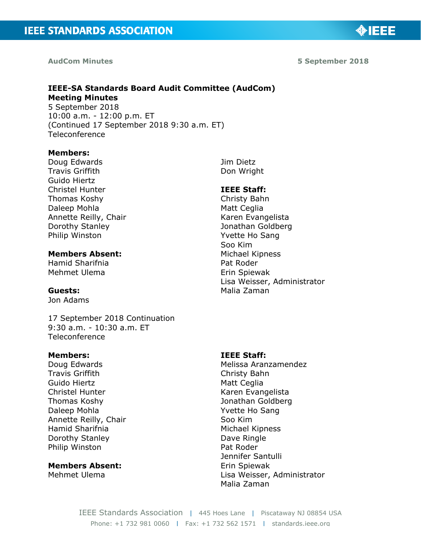#### **AudCom Minutes**

**5 September 2018**

◈IEEE

#### **IEEE-SA Standards Board Audit Committee (AudCom) Meeting Minutes** 5 September 2018

10:00 a.m. - 12:00 p.m. ET (Continued 17 September 2018 9:30 a.m. ET) Teleconference

#### **Members:**

Doug Edwards Travis Griffith Guido Hiertz Christel Hunter Thomas Koshy Daleep Mohla Annette Reilly, Chair Dorothy Stanley Philip Winston

## **Members Absent:**

Hamid Sharifnia Mehmet Ulema

#### **Guests:**

Jon Adams

17 September 2018 Continuation 9:30 a.m. - 10:30 a.m. ET Teleconference

#### **Members:**

Doug Edwards Travis Griffith Guido Hiertz Christel Hunter Thomas Koshy Daleep Mohla Annette Reilly, Chair Hamid Sharifnia Dorothy Stanley Philip Winston

**Members Absent:**  Mehmet Ulema

Jim Dietz Don Wright

#### **IEEE Staff:**

Christy Bahn Matt Ceglia Karen Evangelista Jonathan Goldberg Yvette Ho Sang Soo Kim Michael Kipness Pat Roder Erin Spiewak Lisa Weisser, Administrator Malia Zaman

#### **IEEE Staff:**

Melissa Aranzamendez Christy Bahn Matt Ceglia Karen Evangelista Jonathan Goldberg Yvette Ho Sang Soo Kim Michael Kipness Dave Ringle Pat Roder Jennifer Santulli Erin Spiewak Lisa Weisser, Administrator Malia Zaman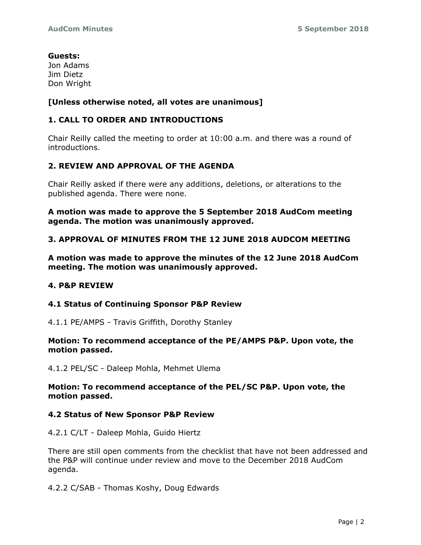# **Guests:**

Jon Adams Jim Dietz Don Wright

# **[Unless otherwise noted, all votes are unanimous]**

# **1. CALL TO ORDER AND INTRODUCTIONS**

Chair Reilly called the meeting to order at 10:00 a.m. and there was a round of introductions.

# **2. REVIEW AND APPROVAL OF THE AGENDA**

Chair Reilly asked if there were any additions, deletions, or alterations to the published agenda. There were none.

**A motion was made to approve the 5 September 2018 AudCom meeting agenda. The motion was unanimously approved.**

# **3. APPROVAL OF MINUTES FROM THE 12 JUNE 2018 AUDCOM MEETING**

**A motion was made to approve the minutes of the 12 June 2018 AudCom meeting. The motion was unanimously approved.**

# **4. P&P REVIEW**

# **4.1 Status of Continuing Sponsor P&P Review**

4.1.1 PE/AMPS - Travis Griffith, Dorothy Stanley

#### **Motion: To recommend acceptance of the PE/AMPS P&P. Upon vote, the motion passed.**

4.1.2 PEL/SC - Daleep Mohla, Mehmet Ulema

**Motion: To recommend acceptance of the PEL/SC P&P. Upon vote, the motion passed.**

# **4.2 Status of New Sponsor P&P Review**

4.2.1 C/LT - Daleep Mohla, Guido Hiertz

There are still open comments from the checklist that have not been addressed and the P&P will continue under review and move to the December 2018 AudCom agenda.

4.2.2 C/SAB - Thomas Koshy, Doug Edwards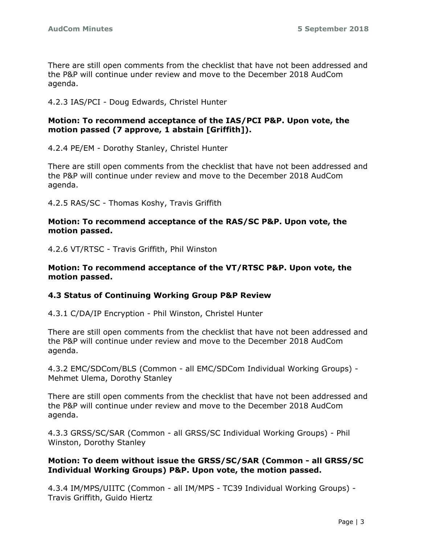There are still open comments from the checklist that have not been addressed and the P&P will continue under review and move to the December 2018 AudCom agenda.

4.2.3 IAS/PCI - Doug Edwards, Christel Hunter

## **Motion: To recommend acceptance of the IAS/PCI P&P. Upon vote, the motion passed (7 approve, 1 abstain [Griffith]).**

4.2.4 PE/EM - Dorothy Stanley, Christel Hunter

There are still open comments from the checklist that have not been addressed and the P&P will continue under review and move to the December 2018 AudCom agenda.

4.2.5 RAS/SC - Thomas Koshy, Travis Griffith

#### **Motion: To recommend acceptance of the RAS/SC P&P. Upon vote, the motion passed.**

4.2.6 VT/RTSC - Travis Griffith, Phil Winston

#### **Motion: To recommend acceptance of the VT/RTSC P&P. Upon vote, the motion passed.**

# **4.3 Status of Continuing Working Group P&P Review**

4.3.1 C/DA/IP Encryption - Phil Winston, Christel Hunter

There are still open comments from the checklist that have not been addressed and the P&P will continue under review and move to the December 2018 AudCom agenda.

4.3.2 EMC/SDCom/BLS (Common - all EMC/SDCom Individual Working Groups) - Mehmet Ulema, Dorothy Stanley

There are still open comments from the checklist that have not been addressed and the P&P will continue under review and move to the December 2018 AudCom agenda.

4.3.3 GRSS/SC/SAR (Common - all GRSS/SC Individual Working Groups) - Phil Winston, Dorothy Stanley

## **Motion: To deem without issue the GRSS/SC/SAR (Common - all GRSS/SC Individual Working Groups) P&P. Upon vote, the motion passed.**

4.3.4 IM/MPS/UIITC (Common - all IM/MPS - TC39 Individual Working Groups) - Travis Griffith, Guido Hiertz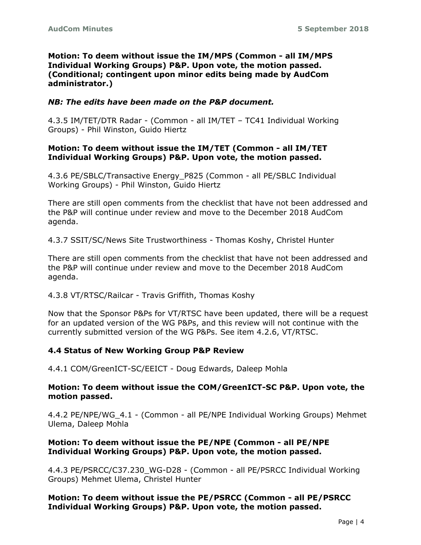#### **Motion: To deem without issue the IM/MPS (Common - all IM/MPS Individual Working Groups) P&P. Upon vote, the motion passed. (Conditional; contingent upon minor edits being made by AudCom administrator.)**

#### *NB: The edits have been made on the P&P document.*

4.3.5 IM/TET/DTR Radar - (Common - all IM/TET – TC41 Individual Working Groups) - Phil Winston, Guido Hiertz

#### **Motion: To deem without issue the IM/TET (Common - all IM/TET Individual Working Groups) P&P. Upon vote, the motion passed.**

4.3.6 PE/SBLC/Transactive Energy\_P825 (Common - all PE/SBLC Individual Working Groups) - Phil Winston, Guido Hiertz

There are still open comments from the checklist that have not been addressed and the P&P will continue under review and move to the December 2018 AudCom agenda.

4.3.7 SSIT/SC/News Site Trustworthiness - Thomas Koshy, Christel Hunter

There are still open comments from the checklist that have not been addressed and the P&P will continue under review and move to the December 2018 AudCom agenda.

4.3.8 VT/RTSC/Railcar - Travis Griffith, Thomas Koshy

Now that the Sponsor P&Ps for VT/RTSC have been updated, there will be a request for an updated version of the WG P&Ps, and this review will not continue with the currently submitted version of the WG P&Ps. See item 4.2.6, VT/RTSC.

#### **4.4 Status of New Working Group P&P Review**

4.4.1 COM/GreenICT-SC/EEICT - Doug Edwards, Daleep Mohla

#### **Motion: To deem without issue the COM/GreenICT-SC P&P. Upon vote, the motion passed.**

4.4.2 PE/NPE/WG\_4.1 - (Common - all PE/NPE Individual Working Groups) Mehmet Ulema, Daleep Mohla

#### **Motion: To deem without issue the PE/NPE (Common - all PE/NPE Individual Working Groups) P&P. Upon vote, the motion passed.**

4.4.3 PE/PSRCC/C37.230\_WG-D28 - (Common - all PE/PSRCC Individual Working Groups) Mehmet Ulema, Christel Hunter

**Motion: To deem without issue the PE/PSRCC (Common - all PE/PSRCC Individual Working Groups) P&P. Upon vote, the motion passed.**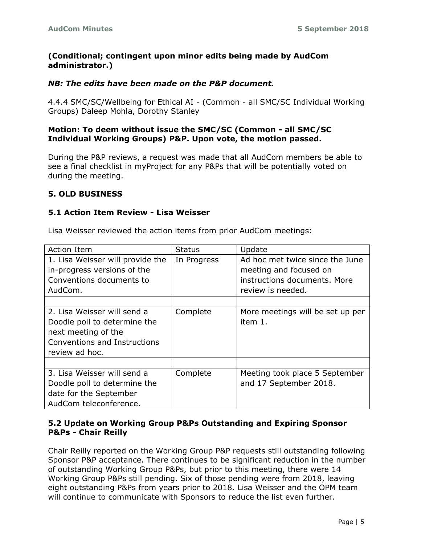## **(Conditional; contingent upon minor edits being made by AudCom administrator.)**

## *NB: The edits have been made on the P&P document.*

4.4.4 SMC/SC/Wellbeing for Ethical AI - (Common - all SMC/SC Individual Working Groups) Daleep Mohla, Dorothy Stanley

#### **Motion: To deem without issue the SMC/SC (Common - all SMC/SC Individual Working Groups) P&P. Upon vote, the motion passed.**

During the P&P reviews, a request was made that all AudCom members be able to see a final checklist in myProject for any P&Ps that will be potentially voted on during the meeting.

## **5. OLD BUSINESS**

# **5.1 Action Item Review - Lisa Weisser**

| Action Item                      | <b>Status</b> | Update                           |
|----------------------------------|---------------|----------------------------------|
| 1. Lisa Weisser will provide the | In Progress   | Ad hoc met twice since the June  |
| in-progress versions of the      |               | meeting and focused on           |
| Conventions documents to         |               | instructions documents. More     |
| AudCom.                          |               | review is needed.                |
|                                  |               |                                  |
| 2. Lisa Weisser will send a      | Complete      | More meetings will be set up per |
| Doodle poll to determine the     |               | item 1.                          |
| next meeting of the              |               |                                  |
| Conventions and Instructions     |               |                                  |
| review ad hoc.                   |               |                                  |
|                                  |               |                                  |
| 3. Lisa Weisser will send a      | Complete      | Meeting took place 5 September   |
| Doodle poll to determine the     |               | and 17 September 2018.           |
| date for the September           |               |                                  |
| AudCom teleconference.           |               |                                  |

Lisa Weisser reviewed the action items from prior AudCom meetings:

## **5.2 Update on Working Group P&Ps Outstanding and Expiring Sponsor P&Ps - Chair Reilly**

Chair Reilly reported on the Working Group P&P requests still outstanding following Sponsor P&P acceptance. There continues to be significant reduction in the number of outstanding Working Group P&Ps, but prior to this meeting, there were 14 Working Group P&Ps still pending. Six of those pending were from 2018, leaving eight outstanding P&Ps from years prior to 2018. Lisa Weisser and the OPM team will continue to communicate with Sponsors to reduce the list even further.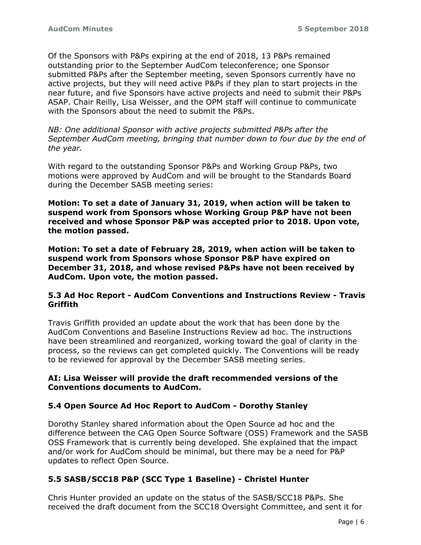Of the Sponsors with P&Ps expiring at the end of 2018, 13 P&Ps remained outstanding prior to the September AudCom teleconference; one Sponsor submitted P&Ps after the September meeting, seven Sponsors currently have no active projects, but they will need active P&Ps if they plan to start projects in the near future, and five Sponsors have active projects and need to submit their P&Ps ASAP. Chair Reilly, Lisa Weisser, and the OPM staff will continue to communicate with the Sponsors about the need to submit the P&Ps.

*NB: One additional Sponsor with active projects submitted P&Ps after the September AudCom meeting, bringing that number down to four due by the end of the year.* 

With regard to the outstanding Sponsor P&Ps and Working Group P&Ps, two motions were approved by AudCom and will be brought to the Standards Board during the December SASB meeting series:

**Motion: To set a date of January 31, 2019, when action will be taken to suspend work from Sponsors whose Working Group P&P have not been received and whose Sponsor P&P was accepted prior to 2018. Upon vote, the motion passed.**

**Motion: To set a date of February 28, 2019, when action will be taken to suspend work from Sponsors whose Sponsor P&P have expired on December 31, 2018, and whose revised P&Ps have not been received by AudCom. Upon vote, the motion passed.**

## **5.3 Ad Hoc Report - AudCom Conventions and Instructions Review - Travis Griffith**

Travis Griffith provided an update about the work that has been done by the AudCom Conventions and Baseline Instructions Review ad hoc. The instructions have been streamlined and reorganized, working toward the goal of clarity in the process, so the reviews can get completed quickly. The Conventions will be ready to be reviewed for approval by the December SASB meeting series.

## **AI: Lisa Weisser will provide the draft recommended versions of the Conventions documents to AudCom.**

# **5.4 Open Source Ad Hoc Report to AudCom - Dorothy Stanley**

Dorothy Stanley shared information about the Open Source ad hoc and the difference between the CAG Open Source Software (OSS) Framework and the SASB OSS Framework that is currently being developed. She explained that the impact and/or work for AudCom should be minimal, but there may be a need for P&P updates to reflect Open Source.

# **5.5 SASB/SCC18 P&P (SCC Type 1 Baseline) - Christel Hunter**

Chris Hunter provided an update on the status of the SASB/SCC18 P&Ps. She received the draft document from the SCC18 Oversight Committee, and sent it for